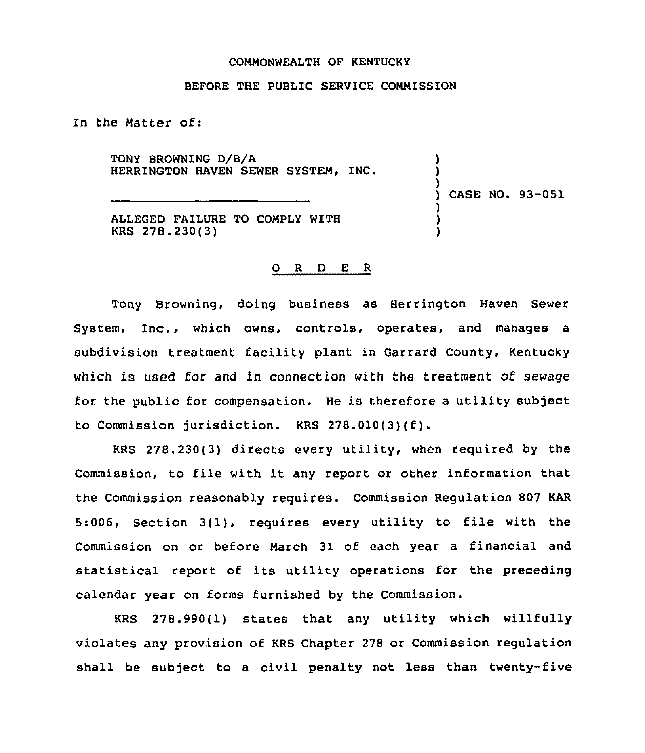## COMMONWEALTH OF KENTUCKY

## BEFORE THE PUBLIC SERVICE COMMISSION

In the Matter of:

TONY BROWNING D/8/A HERRINGTON HAVEN SEWER SYSTEM, INC.

) CASE NO. 93-051

) ) )

) ) )

ALLEGED FAILURE TO COMPLY WITH KRS 278.230(3)

## 0 <sup>R</sup> <sup>D</sup> E <sup>R</sup>

Tony Browning, doing business as Herrington Haven Sewer System, Inc., which owns, controls, operates, and manages a subdivision treatment facility plant in Garrard County, Kentucky which is used for and in connection with the treatment of sewage for the public for compensation. He is therefore a utility subject to Commission jurisdiction. KRS 278.010(3)(f).

KRS 278.230(3) directs every utility, when required by the Commission, to file with it any report or other information that the Commission reasonably requires. Commission Regulation 807 KAR 5:006, Section 3(1), requires every utility to file with the Commission on or before March 31 of each year a financial and statistical report of its utility operations for the preceding calendar year on forms furnished by the Commission.

KRS 278.990(1) states that any utility which willfully violates any provision of KRS Chapter 278 or Commission regulation shall be subject to a civil penalty not less than twenty-five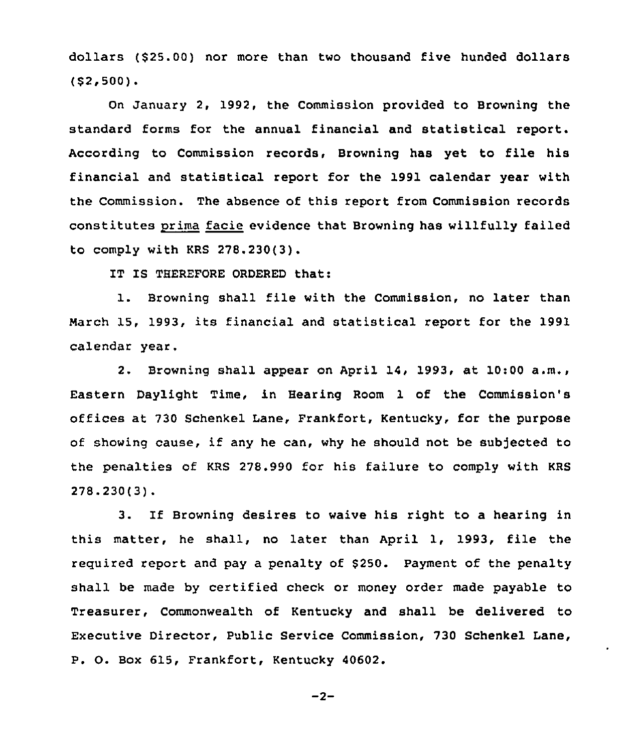dollars (\$25.00) nor more than two thousand five hunded dollars (\$2,500).

On January 2, 1992, the Commission provided to Browning the standard forms for the annual financial and statistical report. According to Commission records, Browning has yet to file his financial and statistical report for the 1991 calendar year with the Commission. The absence of this report from Commission records constitutes prima facie evidence that Browning has willfully failed to comply with KRS 278.230(3).

IT IS THEREFORE ORDERED that:

l. Browning shall file with the Commission, no later than March 15, 1993, its financial and statistical report for the 1991 calendar year,

2. Browning shall appear on April 14, 1993, at  $10:00$  a.m., Eastern Daylight Time, in Bearing Room 1 of the Commission's offices at 730 Schenkel Lane, Frankfort, Kentucky, for the purpose of showing cause, if any he can, why he should not be sub)ected to the penalties of KRS 278.990 for his failure to comply with KRS 278.230(3).

3. If Browning desires to waive his right to a hearing in this matter, he shall, no later than April 1, 1993, file the required report and pay a penalty of \$250. Payment of the penalty shall be made by certified check or money order made payable to Treasurer, Commonwealth of Kentucky and shall be delivered to Executive Director, Public Service Commission, 730 Schenkel Lane, P. 0. Box 615, Frankfort, Kentucky 40602.

$$
-2-
$$